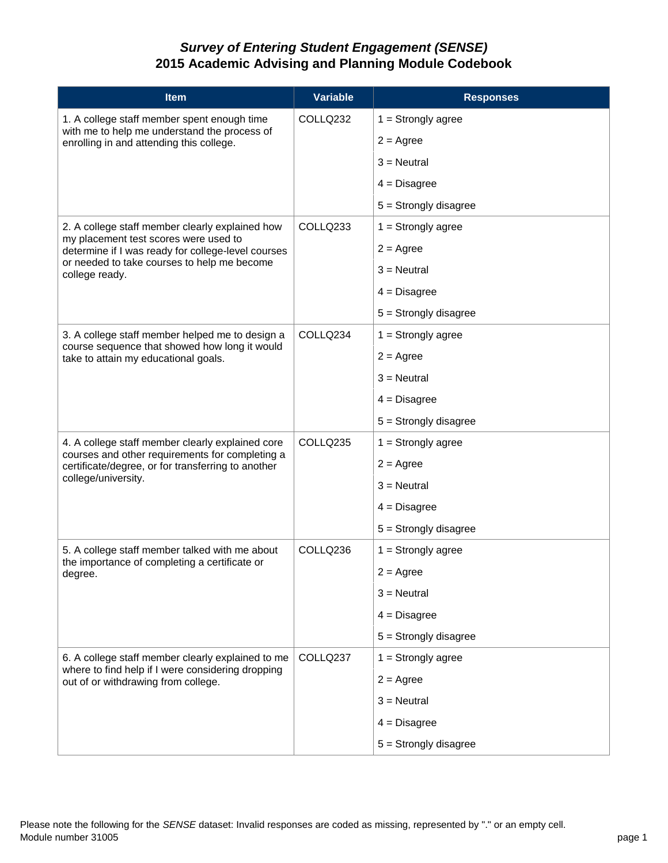## *Survey of Entering Student Engagement (SENSE)* **2015 Academic Advising and Planning Module Codebook**

| <b>Item</b>                                                                                                                                                                                                     | <b>Variable</b> | <b>Responses</b>        |
|-----------------------------------------------------------------------------------------------------------------------------------------------------------------------------------------------------------------|-----------------|-------------------------|
| 1. A college staff member spent enough time<br>with me to help me understand the process of<br>enrolling in and attending this college.                                                                         | COLLQ232        | $1 =$ Strongly agree    |
|                                                                                                                                                                                                                 |                 | $2 = \text{Agree}$      |
|                                                                                                                                                                                                                 |                 | $3$ = Neutral           |
|                                                                                                                                                                                                                 |                 | $4 = Disagree$          |
|                                                                                                                                                                                                                 |                 | $5 =$ Strongly disagree |
| 2. A college staff member clearly explained how<br>my placement test scores were used to<br>determine if I was ready for college-level courses<br>or needed to take courses to help me become<br>college ready. | COLLQ233        | $1 =$ Strongly agree    |
|                                                                                                                                                                                                                 |                 | $2 = \text{Agree}$      |
|                                                                                                                                                                                                                 |                 | $3$ = Neutral           |
|                                                                                                                                                                                                                 |                 | $4 = Disagree$          |
|                                                                                                                                                                                                                 |                 | $5 =$ Strongly disagree |
| 3. A college staff member helped me to design a<br>course sequence that showed how long it would<br>take to attain my educational goals.                                                                        | COLLQ234        | $1 =$ Strongly agree    |
|                                                                                                                                                                                                                 |                 | $2 = \text{Agree}$      |
|                                                                                                                                                                                                                 |                 | $3$ = Neutral           |
|                                                                                                                                                                                                                 |                 | $4 = Disagree$          |
|                                                                                                                                                                                                                 |                 | $5 =$ Strongly disagree |
| 4. A college staff member clearly explained core<br>courses and other requirements for completing a<br>certificate/degree, or for transferring to another<br>college/university.                                | COLLQ235        | $1 =$ Strongly agree    |
|                                                                                                                                                                                                                 |                 | $2 = \text{Agree}$      |
|                                                                                                                                                                                                                 |                 | $3$ = Neutral           |
|                                                                                                                                                                                                                 |                 | $4 = Disagree$          |
|                                                                                                                                                                                                                 |                 | $5 =$ Strongly disagree |
| 5. A college staff member talked with me about<br>the importance of completing a certificate or<br>degree.                                                                                                      | COLLQ236        | $1 =$ Strongly agree    |
|                                                                                                                                                                                                                 |                 | $2 = \text{Agree}$      |
|                                                                                                                                                                                                                 |                 | $3 =$ Neutral           |
|                                                                                                                                                                                                                 |                 | $4 = Disagree$          |
|                                                                                                                                                                                                                 |                 | $5 =$ Strongly disagree |
| 6. A college staff member clearly explained to me<br>where to find help if I were considering dropping<br>out of or withdrawing from college.                                                                   | COLLQ237        | $1 =$ Strongly agree    |
|                                                                                                                                                                                                                 |                 | $2 = \text{Agree}$      |
|                                                                                                                                                                                                                 |                 | $3$ = Neutral           |
|                                                                                                                                                                                                                 |                 | $4 = Disagree$          |
|                                                                                                                                                                                                                 |                 | $5 =$ Strongly disagree |